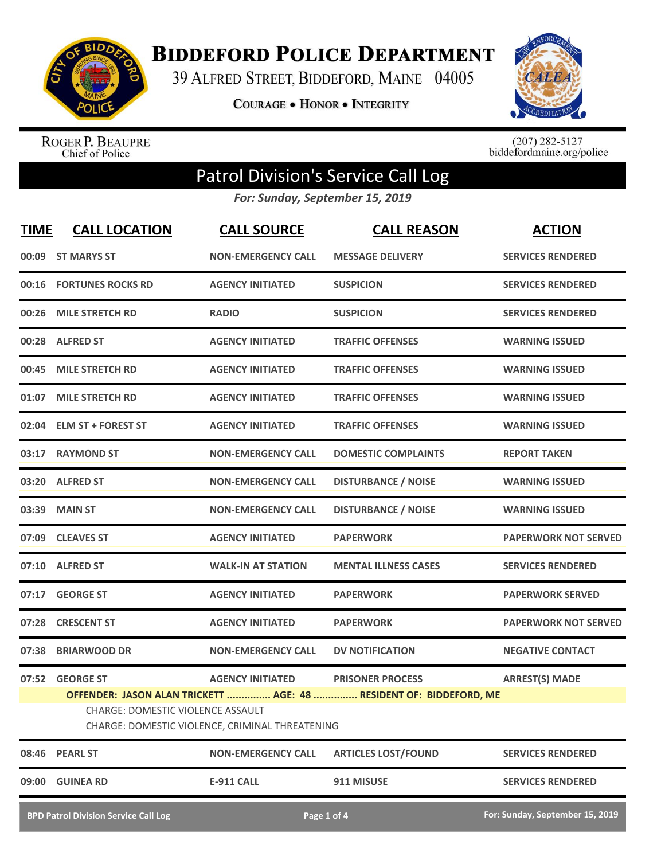

**BIDDEFORD POLICE DEPARTMENT** 

39 ALFRED STREET, BIDDEFORD, MAINE 04005

**COURAGE . HONOR . INTEGRITY** 



ROGER P. BEAUPRE<br>Chief of Police

 $(207)$  282-5127<br>biddefordmaine.org/police

## Patrol Division's Service Call Log

*For: Sunday, September 15, 2019*

| <b>TIME</b> | <b>CALL LOCATION</b>                        | <b>CALL SOURCE</b>                              | <b>CALL REASON</b>                                                 | <b>ACTION</b>                   |
|-------------|---------------------------------------------|-------------------------------------------------|--------------------------------------------------------------------|---------------------------------|
| 00:09       | <b>ST MARYS ST</b>                          | <b>NON-EMERGENCY CALL</b>                       | <b>MESSAGE DELIVERY</b>                                            | <b>SERVICES RENDERED</b>        |
| 00:16       | <b>FORTUNES ROCKS RD</b>                    | <b>AGENCY INITIATED</b>                         | <b>SUSPICION</b>                                                   | <b>SERVICES RENDERED</b>        |
| 00:26       | <b>MILE STRETCH RD</b>                      | <b>RADIO</b>                                    | <b>SUSPICION</b>                                                   | <b>SERVICES RENDERED</b>        |
|             | 00:28 ALFRED ST                             | <b>AGENCY INITIATED</b>                         | <b>TRAFFIC OFFENSES</b>                                            | <b>WARNING ISSUED</b>           |
| 00:45       | <b>MILE STRETCH RD</b>                      | <b>AGENCY INITIATED</b>                         | <b>TRAFFIC OFFENSES</b>                                            | <b>WARNING ISSUED</b>           |
| 01:07       | <b>MILE STRETCH RD</b>                      | <b>AGENCY INITIATED</b>                         | <b>TRAFFIC OFFENSES</b>                                            | <b>WARNING ISSUED</b>           |
|             | 02:04 ELM ST + FOREST ST                    | <b>AGENCY INITIATED</b>                         | <b>TRAFFIC OFFENSES</b>                                            | <b>WARNING ISSUED</b>           |
|             | 03:17 RAYMOND ST                            | <b>NON-EMERGENCY CALL</b>                       | <b>DOMESTIC COMPLAINTS</b>                                         | <b>REPORT TAKEN</b>             |
| 03:20       | <b>ALFRED ST</b>                            | <b>NON-EMERGENCY CALL</b>                       | <b>DISTURBANCE / NOISE</b>                                         | <b>WARNING ISSUED</b>           |
| 03:39       | <b>MAIN ST</b>                              | <b>NON-EMERGENCY CALL</b>                       | <b>DISTURBANCE / NOISE</b>                                         | <b>WARNING ISSUED</b>           |
|             | 07:09 CLEAVES ST                            | <b>AGENCY INITIATED</b>                         | <b>PAPERWORK</b>                                                   | <b>PAPERWORK NOT SERVED</b>     |
| 07:10       | <b>ALFRED ST</b>                            | <b>WALK-IN AT STATION</b>                       | <b>MENTAL ILLNESS CASES</b>                                        | <b>SERVICES RENDERED</b>        |
| 07:17       | <b>GEORGE ST</b>                            | <b>AGENCY INITIATED</b>                         | <b>PAPERWORK</b>                                                   | <b>PAPERWORK SERVED</b>         |
| 07:28       | <b>CRESCENT ST</b>                          | <b>AGENCY INITIATED</b>                         | <b>PAPERWORK</b>                                                   | <b>PAPERWORK NOT SERVED</b>     |
| 07:38       | <b>BRIARWOOD DR</b>                         | <b>NON-EMERGENCY CALL</b>                       | <b>DV NOTIFICATION</b>                                             | <b>NEGATIVE CONTACT</b>         |
|             | 07:52 GEORGE ST                             | <b>AGENCY INITIATED</b>                         | <b>PRISONER PROCESS</b>                                            | <b>ARREST(S) MADE</b>           |
|             |                                             |                                                 | OFFENDER: JASON ALAN TRICKETT  AGE: 48  RESIDENT OF: BIDDEFORD, ME |                                 |
|             | CHARGE: DOMESTIC VIOLENCE ASSAULT           | CHARGE: DOMESTIC VIOLENCE, CRIMINAL THREATENING |                                                                    |                                 |
|             | 08:46 PEARL ST                              | <b>NON-EMERGENCY CALL</b>                       | <b>ARTICLES LOST/FOUND</b>                                         | <b>SERVICES RENDERED</b>        |
| 09:00       | <b>GUINEA RD</b>                            | <b>E-911 CALL</b>                               | 911 MISUSE                                                         | <b>SERVICES RENDERED</b>        |
|             | <b>BPD Patrol Division Service Call Log</b> |                                                 | Page 1 of 4                                                        | For: Sunday, September 15, 2019 |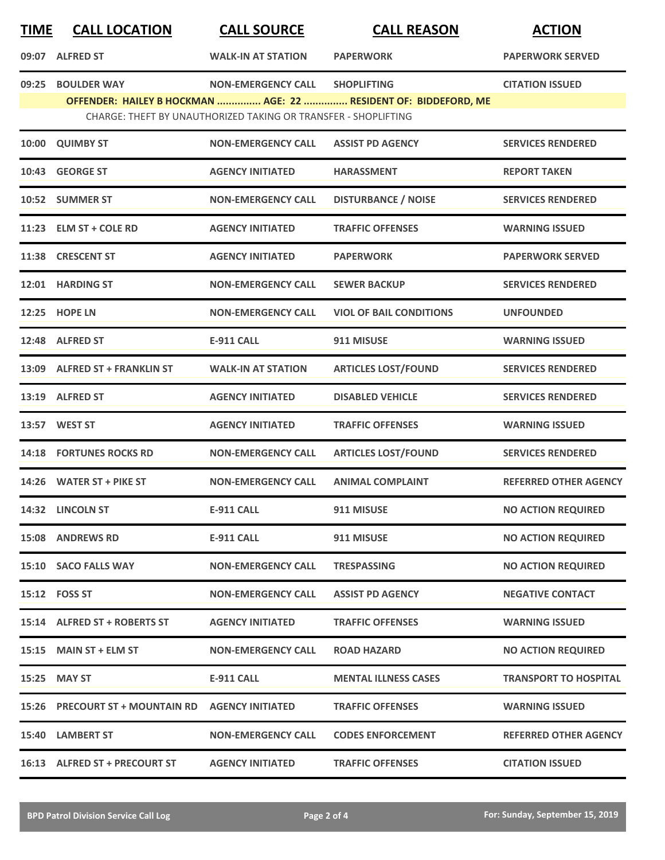| <u>TIME</u> | <b>CALL LOCATION</b>            | <b>CALL SOURCE</b>                                             | <b>CALL REASON</b>                                              | <b>ACTION</b>                |
|-------------|---------------------------------|----------------------------------------------------------------|-----------------------------------------------------------------|------------------------------|
|             | 09:07 ALFRED ST                 | <b>WALK-IN AT STATION</b>                                      | <b>PAPERWORK</b>                                                | <b>PAPERWORK SERVED</b>      |
| 09:25       | <b>BOULDER WAY</b>              | <b>NON-EMERGENCY CALL</b>                                      | <b>SHOPLIFTING</b>                                              | <b>CITATION ISSUED</b>       |
|             |                                 | CHARGE: THEFT BY UNAUTHORIZED TAKING OR TRANSFER - SHOPLIFTING | OFFENDER: HAILEY B HOCKMAN  AGE: 22  RESIDENT OF: BIDDEFORD, ME |                              |
| 10:00       | <b>QUIMBY ST</b>                | <b>NON-EMERGENCY CALL</b>                                      | <b>ASSIST PD AGENCY</b>                                         | <b>SERVICES RENDERED</b>     |
|             | 10:43 GEORGE ST                 | <b>AGENCY INITIATED</b>                                        | <b>HARASSMENT</b>                                               | <b>REPORT TAKEN</b>          |
|             | 10:52 SUMMER ST                 | <b>NON-EMERGENCY CALL</b>                                      | <b>DISTURBANCE / NOISE</b>                                      | <b>SERVICES RENDERED</b>     |
|             | 11:23 ELM ST + COLE RD          | <b>AGENCY INITIATED</b>                                        | <b>TRAFFIC OFFENSES</b>                                         | <b>WARNING ISSUED</b>        |
|             | 11:38 CRESCENT ST               | <b>AGENCY INITIATED</b>                                        | <b>PAPERWORK</b>                                                | <b>PAPERWORK SERVED</b>      |
|             | 12:01 HARDING ST                | <b>NON-EMERGENCY CALL</b>                                      | <b>SEWER BACKUP</b>                                             | <b>SERVICES RENDERED</b>     |
|             | 12:25 HOPE LN                   | <b>NON-EMERGENCY CALL</b>                                      | <b>VIOL OF BAIL CONDITIONS</b>                                  | <b>UNFOUNDED</b>             |
|             | 12:48 ALFRED ST                 | <b>E-911 CALL</b>                                              | 911 MISUSE                                                      | <b>WARNING ISSUED</b>        |
|             | 13:09 ALFRED ST + FRANKLIN ST   | <b>WALK-IN AT STATION</b>                                      | <b>ARTICLES LOST/FOUND</b>                                      | <b>SERVICES RENDERED</b>     |
|             | 13:19 ALFRED ST                 | <b>AGENCY INITIATED</b>                                        | <b>DISABLED VEHICLE</b>                                         | <b>SERVICES RENDERED</b>     |
|             | 13:57 WEST ST                   | <b>AGENCY INITIATED</b>                                        | <b>TRAFFIC OFFENSES</b>                                         | <b>WARNING ISSUED</b>        |
|             | <b>14:18 FORTUNES ROCKS RD</b>  | <b>NON-EMERGENCY CALL</b>                                      | <b>ARTICLES LOST/FOUND</b>                                      | <b>SERVICES RENDERED</b>     |
|             | 14:26 WATER ST + PIKE ST        | <b>NON-EMERGENCY CALL</b>                                      | <b>ANIMAL COMPLAINT</b>                                         | <b>REFERRED OTHER AGENCY</b> |
|             | 14:32 LINCOLN ST                | <b>E-911 CALL</b>                                              | 911 MISUSE                                                      | <b>NO ACTION REQUIRED</b>    |
|             | <b>15:08 ANDREWS RD</b>         | <b>E-911 CALL</b>                                              | 911 MISUSE                                                      | <b>NO ACTION REQUIRED</b>    |
|             | 15:10 SACO FALLS WAY            | <b>NON-EMERGENCY CALL</b>                                      | <b>TRESPASSING</b>                                              | <b>NO ACTION REQUIRED</b>    |
|             | 15:12    FOSS ST                | <b>NON-EMERGENCY CALL</b>                                      | <b>ASSIST PD AGENCY</b>                                         | <b>NEGATIVE CONTACT</b>      |
|             | 15:14 ALFRED ST + ROBERTS ST    | <b>AGENCY INITIATED</b>                                        | <b>TRAFFIC OFFENSES</b>                                         | <b>WARNING ISSUED</b>        |
|             | 15:15 MAIN ST + ELM ST          | <b>NON-EMERGENCY CALL</b>                                      | <b>ROAD HAZARD</b>                                              | <b>NO ACTION REQUIRED</b>    |
|             | 15:25 MAY ST                    | E-911 CALL                                                     | <b>MENTAL ILLNESS CASES</b>                                     | <b>TRANSPORT TO HOSPITAL</b> |
|             | 15:26 PRECOURT ST + MOUNTAIN RD | <b>AGENCY INITIATED</b>                                        | <b>TRAFFIC OFFENSES</b>                                         | <b>WARNING ISSUED</b>        |
|             | 15:40 LAMBERT ST                | <b>NON-EMERGENCY CALL</b>                                      | <b>CODES ENFORCEMENT</b>                                        | <b>REFERRED OTHER AGENCY</b> |
|             | 16:13 ALFRED ST + PRECOURT ST   | <b>AGENCY INITIATED</b>                                        | <b>TRAFFIC OFFENSES</b>                                         | <b>CITATION ISSUED</b>       |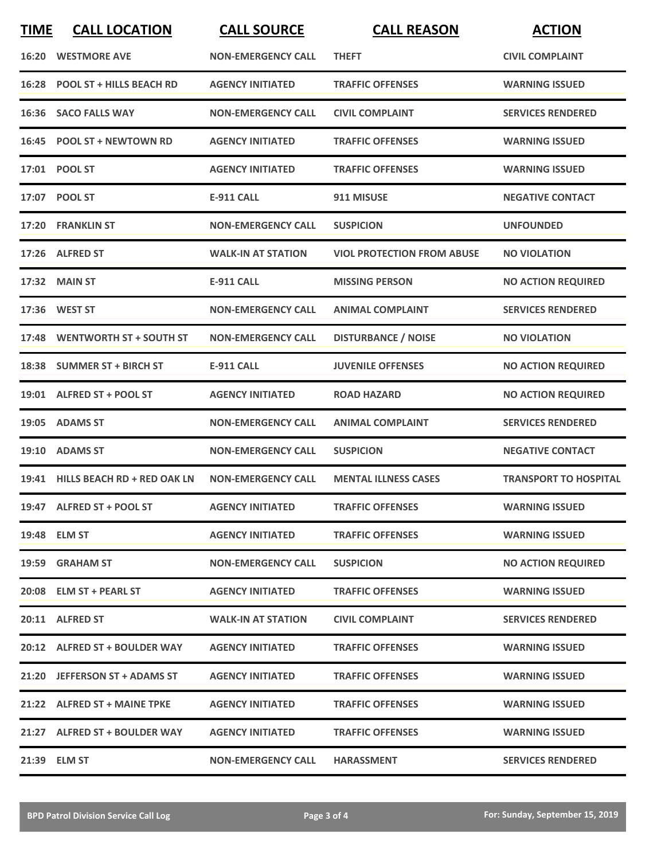| <b>TIME</b> | <b>CALL LOCATION</b>              | <b>CALL SOURCE</b>        | <b>CALL REASON</b>                | <b>ACTION</b>                |
|-------------|-----------------------------------|---------------------------|-----------------------------------|------------------------------|
|             | <b>16:20 WESTMORE AVE</b>         | <b>NON-EMERGENCY CALL</b> | <b>THEFT</b>                      | <b>CIVIL COMPLAINT</b>       |
|             | 16:28 POOL ST + HILLS BEACH RD    | <b>AGENCY INITIATED</b>   | <b>TRAFFIC OFFENSES</b>           | <b>WARNING ISSUED</b>        |
|             | 16:36 SACO FALLS WAY              | <b>NON-EMERGENCY CALL</b> | <b>CIVIL COMPLAINT</b>            | <b>SERVICES RENDERED</b>     |
|             | 16:45 POOL ST + NEWTOWN RD        | <b>AGENCY INITIATED</b>   | <b>TRAFFIC OFFENSES</b>           | <b>WARNING ISSUED</b>        |
|             | 17:01 POOL ST                     | <b>AGENCY INITIATED</b>   | <b>TRAFFIC OFFENSES</b>           | <b>WARNING ISSUED</b>        |
|             | 17:07 POOL ST                     | <b>E-911 CALL</b>         | 911 MISUSE                        | <b>NEGATIVE CONTACT</b>      |
|             | 17:20 FRANKLIN ST                 | <b>NON-EMERGENCY CALL</b> | <b>SUSPICION</b>                  | <b>UNFOUNDED</b>             |
|             | 17:26 ALFRED ST                   | <b>WALK-IN AT STATION</b> | <b>VIOL PROTECTION FROM ABUSE</b> | <b>NO VIOLATION</b>          |
|             | 17:32 MAIN ST                     | <b>E-911 CALL</b>         | <b>MISSING PERSON</b>             | <b>NO ACTION REQUIRED</b>    |
|             | 17:36 WEST ST                     | <b>NON-EMERGENCY CALL</b> | <b>ANIMAL COMPLAINT</b>           | <b>SERVICES RENDERED</b>     |
|             | 17:48 WENTWORTH ST + SOUTH ST     | <b>NON-EMERGENCY CALL</b> | <b>DISTURBANCE / NOISE</b>        | <b>NO VIOLATION</b>          |
|             | 18:38 SUMMER ST + BIRCH ST        | <b>E-911 CALL</b>         | <b>JUVENILE OFFENSES</b>          | <b>NO ACTION REQUIRED</b>    |
|             | 19:01 ALFRED ST + POOL ST         | <b>AGENCY INITIATED</b>   | <b>ROAD HAZARD</b>                | <b>NO ACTION REQUIRED</b>    |
|             | 19:05 ADAMS ST                    | <b>NON-EMERGENCY CALL</b> | <b>ANIMAL COMPLAINT</b>           | <b>SERVICES RENDERED</b>     |
|             | 19:10 ADAMS ST                    | <b>NON-EMERGENCY CALL</b> | <b>SUSPICION</b>                  | <b>NEGATIVE CONTACT</b>      |
|             | 19:41 HILLS BEACH RD + RED OAK LN | <b>NON-EMERGENCY CALL</b> | <b>MENTAL ILLNESS CASES</b>       | <b>TRANSPORT TO HOSPITAL</b> |
|             | 19:47 ALFRED ST + POOL ST         | <b>AGENCY INITIATED</b>   | <b>TRAFFIC OFFENSES</b>           | <b>WARNING ISSUED</b>        |
|             | 19:48 ELM ST                      | <b>AGENCY INITIATED</b>   | <b>TRAFFIC OFFENSES</b>           | <b>WARNING ISSUED</b>        |
|             | 19:59 GRAHAM ST                   | <b>NON-EMERGENCY CALL</b> | <b>SUSPICION</b>                  | <b>NO ACTION REQUIRED</b>    |
|             | 20:08 ELM ST + PEARL ST           | <b>AGENCY INITIATED</b>   | <b>TRAFFIC OFFENSES</b>           | <b>WARNING ISSUED</b>        |
|             | 20:11 ALFRED ST                   | <b>WALK-IN AT STATION</b> | <b>CIVIL COMPLAINT</b>            | <b>SERVICES RENDERED</b>     |
|             | 20:12 ALFRED ST + BOULDER WAY     | <b>AGENCY INITIATED</b>   | <b>TRAFFIC OFFENSES</b>           | <b>WARNING ISSUED</b>        |
|             | 21:20 JEFFERSON ST + ADAMS ST     | <b>AGENCY INITIATED</b>   | <b>TRAFFIC OFFENSES</b>           | <b>WARNING ISSUED</b>        |
|             | 21:22 ALFRED ST + MAINE TPKE      | <b>AGENCY INITIATED</b>   | <b>TRAFFIC OFFENSES</b>           | <b>WARNING ISSUED</b>        |
|             | 21:27 ALFRED ST + BOULDER WAY     | <b>AGENCY INITIATED</b>   | <b>TRAFFIC OFFENSES</b>           | <b>WARNING ISSUED</b>        |
|             | 21:39 ELM ST                      | <b>NON-EMERGENCY CALL</b> | <b>HARASSMENT</b>                 | <b>SERVICES RENDERED</b>     |